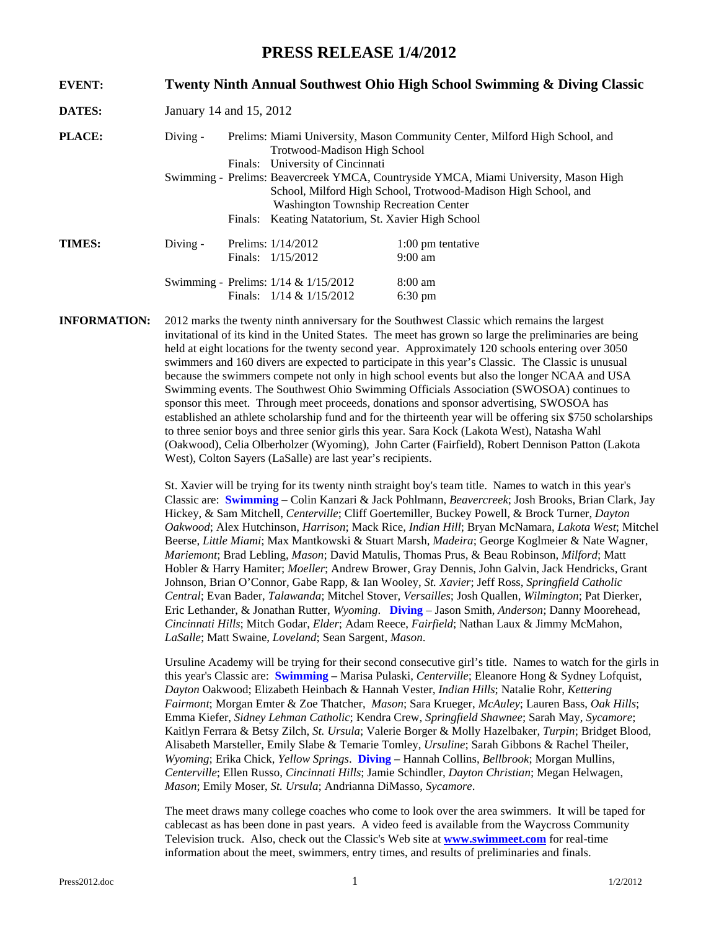## **PRESS RELEASE 1/4/2012**

| <b>EVENT:</b> |                                                                                                                                                                                                        |  | Twenty Ninth Annual Southwest Ohio High School Swimming & Diving Classic |                                                                             |  |  |
|---------------|--------------------------------------------------------------------------------------------------------------------------------------------------------------------------------------------------------|--|--------------------------------------------------------------------------|-----------------------------------------------------------------------------|--|--|
| <b>DATES:</b> | January 14 and 15, 2012                                                                                                                                                                                |  |                                                                          |                                                                             |  |  |
| <b>PLACE:</b> | Diving $-$                                                                                                                                                                                             |  | Trotwood-Madison High School<br>Finals: University of Cincinnati         | Prelims: Miami University, Mason Community Center, Milford High School, and |  |  |
|               | Swimming - Prelims: Beavercreek YMCA, Countryside YMCA, Miami University, Mason High<br>School, Milford High School, Trotwood-Madison High School, and<br><b>Washington Township Recreation Center</b> |  |                                                                          |                                                                             |  |  |
|               |                                                                                                                                                                                                        |  |                                                                          | Finals: Keating Natatorium, St. Xavier High School                          |  |  |
| <b>TIMES:</b> | $Diving -$                                                                                                                                                                                             |  | Prelims: $1/14/2012$<br>Finals: $1/15/2012$                              | $1:00$ pm tentative<br>$9:00 \text{ am}$                                    |  |  |
|               |                                                                                                                                                                                                        |  | Swimming - Prelims: 1/14 & 1/15/2012<br>Finals: $1/14 & 1/15/2012$       | $8:00 \text{ am}$<br>$6:30 \text{ pm}$                                      |  |  |

**INFORMATION:** 2012 marks the twenty ninth anniversary for the Southwest Classic which remains the largest invitational of its kind in the United States. The meet has grown so large the preliminaries are being held at eight locations for the twenty second year. Approximately 120 schools entering over 3050 swimmers and 160 divers are expected to participate in this year's Classic. The Classic is unusual because the swimmers compete not only in high school events but also the longer NCAA and USA Swimming events. The Southwest Ohio Swimming Officials Association (SWOSOA) continues to sponsor this meet. Through meet proceeds, donations and sponsor advertising, SWOSOA has established an athlete scholarship fund and for the thirteenth year will be offering six \$750 scholarships to three senior boys and three senior girls this year. Sara Kock (Lakota West), Natasha Wahl (Oakwood), Celia Olberholzer (Wyoming), John Carter (Fairfield), Robert Dennison Patton (Lakota West), Colton Sayers (LaSalle) are last year's recipients.

> St. Xavier will be trying for its twenty ninth straight boy's team title. Names to watch in this year's Classic are: **Swimming** – Colin Kanzari & Jack Pohlmann, *Beavercreek*; Josh Brooks, Brian Clark, Jay Hickey, & Sam Mitchell, *Centerville*; Cliff Goertemiller, Buckey Powell, & Brock Turner, *Dayton Oakwood*; Alex Hutchinson, *Harrison*; Mack Rice, *Indian Hill*; Bryan McNamara, *Lakota West*; Mitchel Beerse, *Little Miami*; Max Mantkowski & Stuart Marsh, *Madeira*; George Koglmeier & Nate Wagner, *Mariemont*; Brad Lebling, *Mason*; David Matulis, Thomas Prus, & Beau Robinson, *Milford*; Matt Hobler & Harry Hamiter; *Moeller*; Andrew Brower, Gray Dennis, John Galvin, Jack Hendricks, Grant Johnson, Brian O'Connor, Gabe Rapp, & Ian Wooley, *St. Xavier*; Jeff Ross, *Springfield Catholic Central*; Evan Bader, *Talawanda*; Mitchel Stover, *Versailles*; Josh Quallen, *Wilmington*; Pat Dierker, Eric Lethander, & Jonathan Rutter, *Wyoming*. **Diving** – Jason Smith, *Anderson*; Danny Moorehead, *Cincinnati Hills*; Mitch Godar, *Elder*; Adam Reece, *Fairfield*; Nathan Laux & Jimmy McMahon, *LaSalle*; Matt Swaine, *Loveland*; Sean Sargent, *Mason*.

> Ursuline Academy will be trying for their second consecutive girl's title. Names to watch for the girls in this year's Classic are: **Swimming –** Marisa Pulaski, *Centerville*; Eleanore Hong & Sydney Lofquist, *Dayton* Oakwood; Elizabeth Heinbach & Hannah Vester, *Indian Hills*; Natalie Rohr, *Kettering Fairmont*; Morgan Emter & Zoe Thatcher, *Mason*; Sara Krueger, *McAuley*; Lauren Bass, *Oak Hills*; Emma Kiefer, *Sidney Lehman Catholic*; Kendra Crew, *Springfield Shawnee*; Sarah May, *Sycamore*; Kaitlyn Ferrara & Betsy Zilch, *St. Ursula*; Valerie Borger & Molly Hazelbaker, *Turpin*; Bridget Blood, Alisabeth Marsteller, Emily Slabe & Temarie Tomley, *Ursuline*; Sarah Gibbons & Rachel Theiler, *Wyoming*; Erika Chick, *Yellow Springs*. **Diving –** Hannah Collins, *Bellbrook*; Morgan Mullins, *Centerville*; Ellen Russo, *Cincinnati Hills*; Jamie Schindler, *Dayton Christian*; Megan Helwagen, *Mason*; Emily Moser, *St. Ursula*; Andrianna DiMasso, *Sycamore*.

The meet draws many college coaches who come to look over the area swimmers. It will be taped for cablecast as has been done in past years. A video feed is available from the Waycross Community Television truck. Also, check out the Classic's Web site at **[www.swimmeet.com](http://www.swimmeet.com/)** for real-time information about the meet, swimmers, entry times, and results of preliminaries and finals.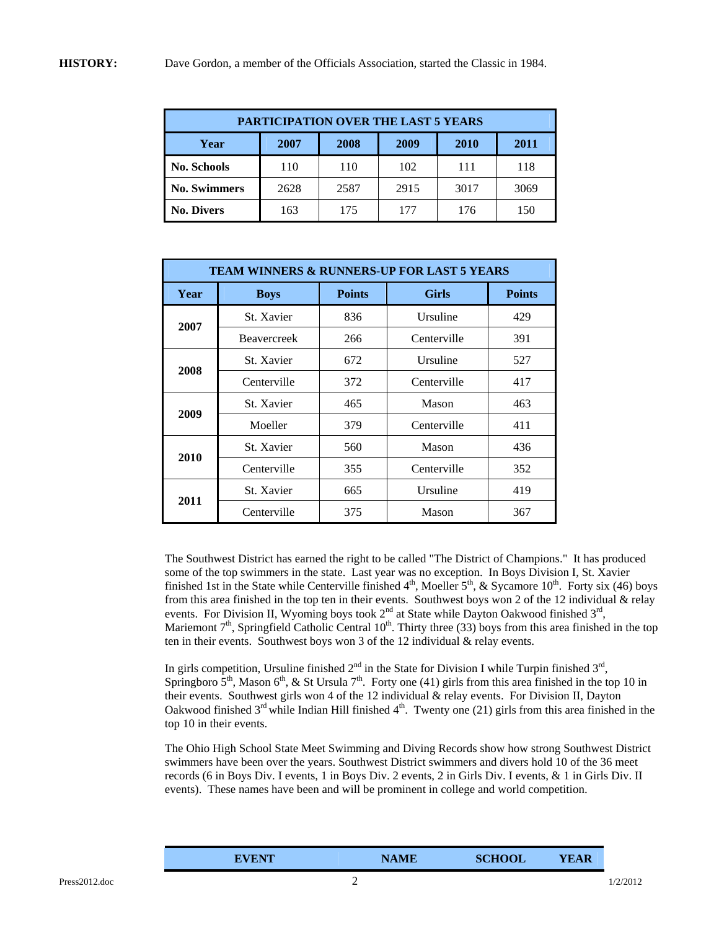| PARTICIPATION OVER THE LAST 5 YEARS |      |      |      |      |      |
|-------------------------------------|------|------|------|------|------|
| Year                                | 2007 | 2008 | 2009 | 2010 | 2011 |
| <b>No. Schools</b>                  | 110  | 110  | 102  | 111  | 118  |
| <b>No. Swimmers</b>                 | 2628 | 2587 | 2915 | 3017 | 3069 |
| <b>No. Divers</b>                   | 163  | 175  | 177  | 176  | 150  |

| <b>TEAM WINNERS &amp; RUNNERS-UP FOR LAST 5 YEARS</b> |                    |               |              |               |  |
|-------------------------------------------------------|--------------------|---------------|--------------|---------------|--|
| Year                                                  | <b>Boys</b>        | <b>Points</b> | <b>Girls</b> | <b>Points</b> |  |
| 2007                                                  | St. Xavier         | 836           | Ursuline     | 429           |  |
|                                                       | <b>Beavercreek</b> | 266           | Centerville  | 391           |  |
| 2008                                                  | St. Xavier         | 672           | Ursuline     | 527           |  |
|                                                       | Centerville        | 372           | Centerville  | 417           |  |
| 2009                                                  | St. Xavier         | 465           | Mason        | 463           |  |
|                                                       | Moeller            | 379           | Centerville  | 411           |  |
| 2010                                                  | St. Xavier         | 560           | Mason        | 436           |  |
|                                                       | Centerville        | 355           | Centerville  | 352           |  |
| 2011                                                  | St. Xavier         | 665           | Ursuline     | 419           |  |
|                                                       | Centerville        | 375           | Mason        | 367           |  |

The Southwest District has earned the right to be called "The District of Champions." It has produced some of the top swimmers in the state. Last year was no exception. In Boys Division I, St. Xavier finished 1st in the State while Centerville finished  $4<sup>th</sup>$ , Moeller  $5<sup>th</sup>$ , & Sycamore 10<sup>th</sup>. Forty six (46) boys from this area finished in the top ten in their events. Southwest boys won 2 of the 12 individual & relay events. For Division II, Wyoming boys took  $2^{nd}$  at State while Dayton Oakwood finished  $3^{rd}$ , Mariemont  $7<sup>th</sup>$ , Springfield Catholic Central  $10<sup>th</sup>$ . Thirty three (33) boys from this area finished in the top ten in their events. Southwest boys won 3 of the 12 individual & relay events.

In girls competition, Ursuline finished  $2<sup>nd</sup>$  in the State for Division I while Turpin finished  $3<sup>rd</sup>$ , Springboro  $5<sup>th</sup>$ , Mason  $6<sup>th</sup>$ , & St Ursula  $7<sup>th</sup>$ . Forty one (41) girls from this area finished in the top 10 in their events. Southwest girls won 4 of the 12 individual & relay events. For Division II, Dayton Oakwood finished  $3<sup>rd</sup>$  while Indian Hill finished  $4<sup>th</sup>$ . Twenty one (21) girls from this area finished in the top 10 in their events.

The Ohio High School State Meet Swimming and Diving Records show how strong Southwest District swimmers have been over the years. Southwest District swimmers and divers hold 10 of the 36 meet records (6 in Boys Div. I events, 1 in Boys Div. 2 events, 2 in Girls Div. I events, & 1 in Girls Div. II events). These names have been and will be prominent in college and world competition.

| <b>SCHOOL</b><br><b>NAME</b><br><b>YEAR</b><br>EVENT |
|------------------------------------------------------|
|------------------------------------------------------|